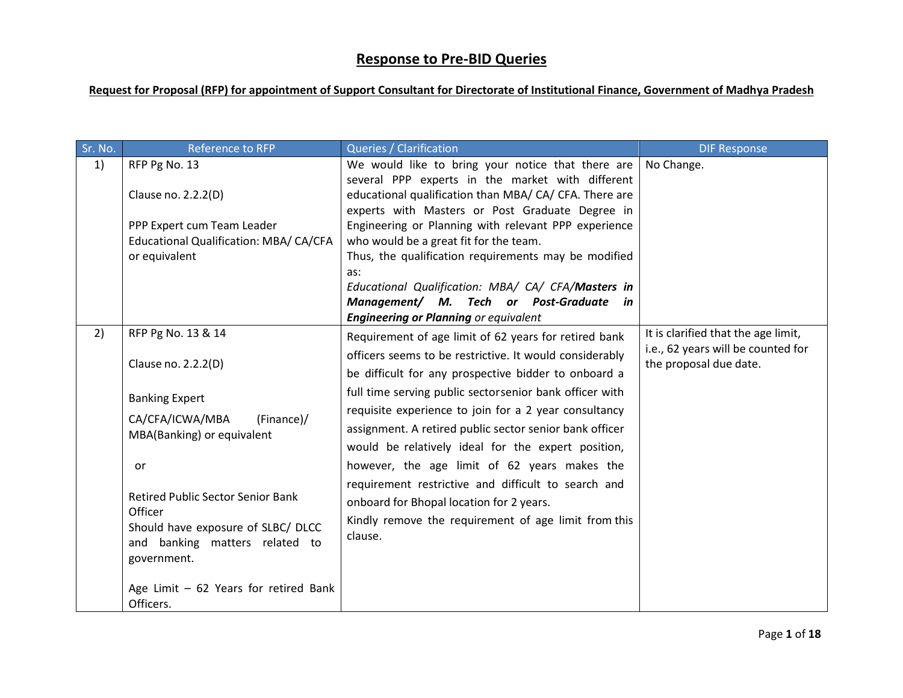## **Response to Pre-BID Queries**

## **Request for Proposal (RFP) for appointment of Support Consultant for Directorate of Institutional Finance, Government of Madhya Pradesh**

| Sr. No. | Reference to RFP                                                                                                                           | <b>Queries / Clarification</b>                                                                                                                                         | <b>DIF Response</b>                                          |
|---------|--------------------------------------------------------------------------------------------------------------------------------------------|------------------------------------------------------------------------------------------------------------------------------------------------------------------------|--------------------------------------------------------------|
| 1)      | RFP Pg No. 13                                                                                                                              | We would like to bring your notice that there are<br>several PPP experts in the market with different                                                                  | No Change.                                                   |
|         | Clause no. 2.2.2(D)                                                                                                                        | educational qualification than MBA/ CA/ CFA. There are<br>experts with Masters or Post Graduate Degree in                                                              |                                                              |
|         | PPP Expert cum Team Leader<br>Educational Qualification: MBA/ CA/CFA                                                                       | Engineering or Planning with relevant PPP experience<br>who would be a great fit for the team.                                                                         |                                                              |
|         | or equivalent                                                                                                                              | Thus, the qualification requirements may be modified<br>as:                                                                                                            |                                                              |
|         |                                                                                                                                            | Educational Qualification: MBA/ CA/ CFA/Masters in<br>Management/ M. Tech or Post-Graduate in<br><b>Engineering or Planning or equivalent</b>                          |                                                              |
| 2)      | RFP Pg No. 13 & 14                                                                                                                         | Requirement of age limit of 62 years for retired bank                                                                                                                  | It is clarified that the age limit,                          |
|         | Clause no. 2.2.2(D)                                                                                                                        | officers seems to be restrictive. It would considerably<br>be difficult for any prospective bidder to onboard a                                                        | i.e., 62 years will be counted for<br>the proposal due date. |
|         | <b>Banking Expert</b>                                                                                                                      | full time serving public sectorsenior bank officer with                                                                                                                |                                                              |
|         | CA/CFA/ICWA/MBA<br>(Finance)/<br>MBA(Banking) or equivalent                                                                                | requisite experience to join for a 2 year consultancy<br>assignment. A retired public sector senior bank officer<br>would be relatively ideal for the expert position, |                                                              |
|         | or                                                                                                                                         | however, the age limit of 62 years makes the                                                                                                                           |                                                              |
|         | <b>Retired Public Sector Senior Bank</b><br>Officer<br>Should have exposure of SLBC/ DLCC<br>and banking matters related to<br>government. | requirement restrictive and difficult to search and<br>onboard for Bhopal location for 2 years.<br>Kindly remove the requirement of age limit from this<br>clause.     |                                                              |
|         | Age Limit - 62 Years for retired Bank<br>Officers.                                                                                         |                                                                                                                                                                        |                                                              |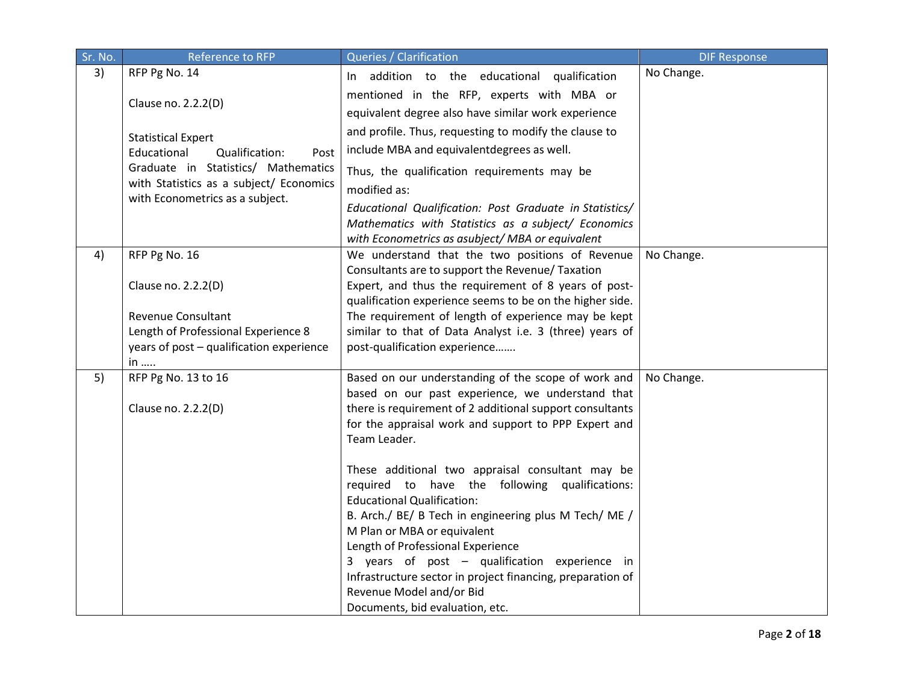| Sr. No. | Reference to RFP                                                   | Queries / Clarification                                                                                        | <b>DIF Response</b> |
|---------|--------------------------------------------------------------------|----------------------------------------------------------------------------------------------------------------|---------------------|
| 3)      | RFP Pg No. 14                                                      | In addition to the educational qualification                                                                   | No Change.          |
|         |                                                                    | mentioned in the RFP, experts with MBA or                                                                      |                     |
|         | Clause no. 2.2.2(D)                                                | equivalent degree also have similar work experience                                                            |                     |
|         |                                                                    | and profile. Thus, requesting to modify the clause to                                                          |                     |
|         | <b>Statistical Expert</b><br>Educational<br>Qualification:<br>Post | include MBA and equivalent degrees as well.                                                                    |                     |
|         | Graduate in Statistics/ Mathematics                                | Thus, the qualification requirements may be                                                                    |                     |
|         | with Statistics as a subject/ Economics                            | modified as:                                                                                                   |                     |
|         | with Econometrics as a subject.                                    |                                                                                                                |                     |
|         |                                                                    | Educational Qualification: Post Graduate in Statistics/<br>Mathematics with Statistics as a subject/ Economics |                     |
|         |                                                                    | with Econometrics as asubject/ MBA or equivalent                                                               |                     |
| 4)      | RFP Pg No. 16                                                      | We understand that the two positions of Revenue                                                                | No Change.          |
|         |                                                                    | Consultants are to support the Revenue/ Taxation                                                               |                     |
|         | Clause no. 2.2.2(D)                                                | Expert, and thus the requirement of 8 years of post-                                                           |                     |
|         |                                                                    | qualification experience seems to be on the higher side.                                                       |                     |
|         | <b>Revenue Consultant</b>                                          | The requirement of length of experience may be kept                                                            |                     |
|         | Length of Professional Experience 8                                | similar to that of Data Analyst i.e. 3 (three) years of                                                        |                     |
|         | years of post - qualification experience                           | post-qualification experience                                                                                  |                     |
| 5)      | $in$<br>RFP Pg No. 13 to 16                                        | Based on our understanding of the scope of work and                                                            | No Change.          |
|         |                                                                    | based on our past experience, we understand that                                                               |                     |
|         | Clause no. 2.2.2(D)                                                | there is requirement of 2 additional support consultants                                                       |                     |
|         |                                                                    | for the appraisal work and support to PPP Expert and                                                           |                     |
|         |                                                                    | Team Leader.                                                                                                   |                     |
|         |                                                                    |                                                                                                                |                     |
|         |                                                                    | These additional two appraisal consultant may be                                                               |                     |
|         |                                                                    | required to have the following qualifications:<br><b>Educational Qualification:</b>                            |                     |
|         |                                                                    | B. Arch./ BE/ B Tech in engineering plus M Tech/ ME /                                                          |                     |
|         |                                                                    | M Plan or MBA or equivalent                                                                                    |                     |
|         |                                                                    | Length of Professional Experience                                                                              |                     |
|         |                                                                    | 3 years of post - qualification experience in                                                                  |                     |
|         |                                                                    | Infrastructure sector in project financing, preparation of                                                     |                     |
|         |                                                                    | Revenue Model and/or Bid                                                                                       |                     |
|         |                                                                    | Documents, bid evaluation, etc.                                                                                |                     |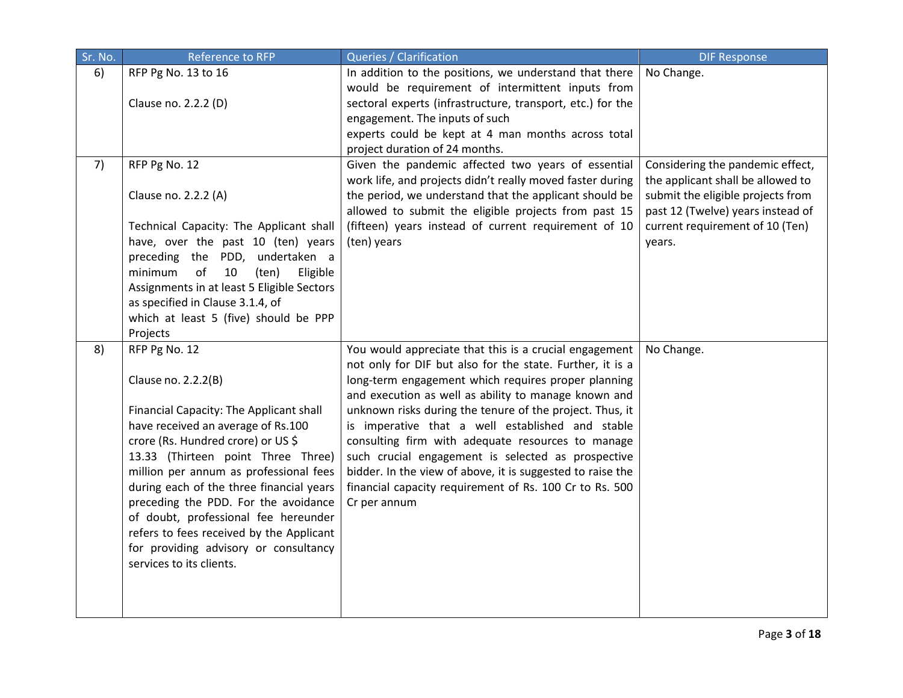| Sr. No. | <b>Reference to RFP</b>                                                                                                                                                                                                                                                                                                                                                                                                                                                                  | Queries / Clarification                                                                                                                                                                                                                                                                                                                                                                                                                                                                                                                                                                                | <b>DIF Response</b>                                                                                                                                                                |
|---------|------------------------------------------------------------------------------------------------------------------------------------------------------------------------------------------------------------------------------------------------------------------------------------------------------------------------------------------------------------------------------------------------------------------------------------------------------------------------------------------|--------------------------------------------------------------------------------------------------------------------------------------------------------------------------------------------------------------------------------------------------------------------------------------------------------------------------------------------------------------------------------------------------------------------------------------------------------------------------------------------------------------------------------------------------------------------------------------------------------|------------------------------------------------------------------------------------------------------------------------------------------------------------------------------------|
| 6)      | RFP Pg No. 13 to 16<br>Clause no. 2.2.2 (D)                                                                                                                                                                                                                                                                                                                                                                                                                                              | In addition to the positions, we understand that there<br>would be requirement of intermittent inputs from<br>sectoral experts (infrastructure, transport, etc.) for the<br>engagement. The inputs of such                                                                                                                                                                                                                                                                                                                                                                                             | No Change.                                                                                                                                                                         |
|         |                                                                                                                                                                                                                                                                                                                                                                                                                                                                                          | experts could be kept at 4 man months across total<br>project duration of 24 months.                                                                                                                                                                                                                                                                                                                                                                                                                                                                                                                   |                                                                                                                                                                                    |
| 7)      | RFP Pg No. 12<br>Clause no. 2.2.2 (A)<br>Technical Capacity: The Applicant shall                                                                                                                                                                                                                                                                                                                                                                                                         | Given the pandemic affected two years of essential<br>work life, and projects didn't really moved faster during<br>the period, we understand that the applicant should be<br>allowed to submit the eligible projects from past 15<br>(fifteen) years instead of current requirement of 10                                                                                                                                                                                                                                                                                                              | Considering the pandemic effect,<br>the applicant shall be allowed to<br>submit the eligible projects from<br>past 12 (Twelve) years instead of<br>current requirement of 10 (Ten) |
|         | have, over the past 10 (ten) years<br>preceding the PDD, undertaken a<br>of<br>minimum<br>10<br>Eligible<br>(ten)<br>Assignments in at least 5 Eligible Sectors<br>as specified in Clause 3.1.4, of<br>which at least 5 (five) should be PPP<br>Projects                                                                                                                                                                                                                                 | (ten) years                                                                                                                                                                                                                                                                                                                                                                                                                                                                                                                                                                                            | years.                                                                                                                                                                             |
| 8)      | RFP Pg No. 12<br>Clause no. 2.2.2(B)<br>Financial Capacity: The Applicant shall<br>have received an average of Rs.100<br>crore (Rs. Hundred crore) or US \$<br>13.33 (Thirteen point Three Three)<br>million per annum as professional fees<br>during each of the three financial years<br>preceding the PDD. For the avoidance<br>of doubt, professional fee hereunder<br>refers to fees received by the Applicant<br>for providing advisory or consultancy<br>services to its clients. | You would appreciate that this is a crucial engagement<br>not only for DIF but also for the state. Further, it is a<br>long-term engagement which requires proper planning<br>and execution as well as ability to manage known and<br>unknown risks during the tenure of the project. Thus, it<br>is imperative that a well established and stable<br>consulting firm with adequate resources to manage<br>such crucial engagement is selected as prospective<br>bidder. In the view of above, it is suggested to raise the<br>financial capacity requirement of Rs. 100 Cr to Rs. 500<br>Cr per annum | No Change.                                                                                                                                                                         |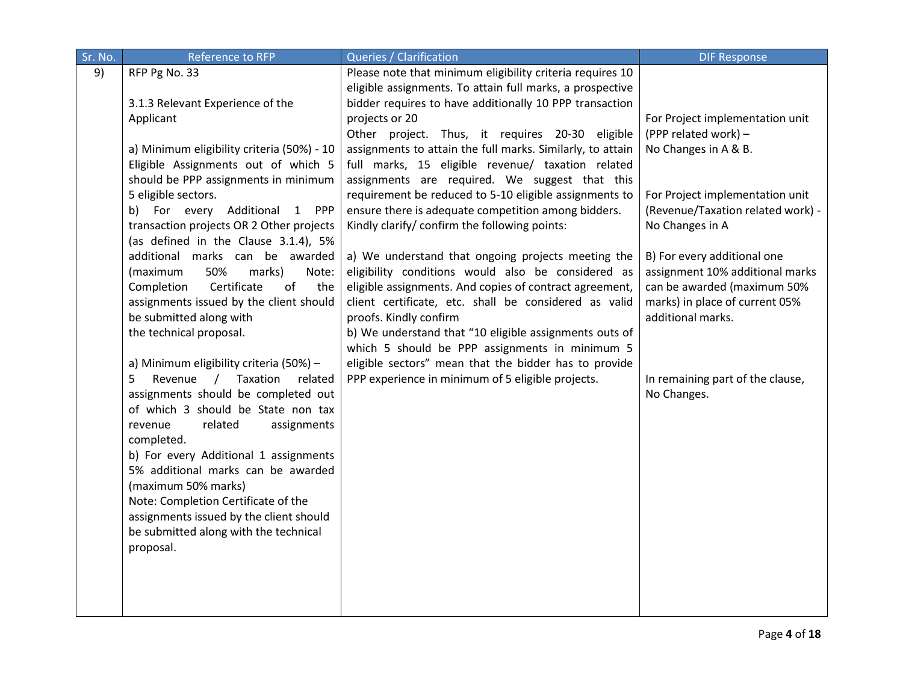| Sr. No. | Reference to RFP                                                            | Queries / Clarification                                                                                                | <b>DIF Response</b>               |
|---------|-----------------------------------------------------------------------------|------------------------------------------------------------------------------------------------------------------------|-----------------------------------|
| 9)      | RFP Pg No. 33                                                               | Please note that minimum eligibility criteria requires 10<br>eligible assignments. To attain full marks, a prospective |                                   |
|         | 3.1.3 Relevant Experience of the                                            | bidder requires to have additionally 10 PPP transaction                                                                |                                   |
|         | Applicant                                                                   | projects or 20                                                                                                         | For Project implementation unit   |
|         |                                                                             | Other project. Thus, it requires 20-30 eligible                                                                        | (PPP related work) -              |
|         | a) Minimum eligibility criteria (50%) - 10                                  | assignments to attain the full marks. Similarly, to attain                                                             | No Changes in A & B.              |
|         | Eligible Assignments out of which 5                                         | full marks, 15 eligible revenue/ taxation related                                                                      |                                   |
|         | should be PPP assignments in minimum                                        | assignments are required. We suggest that this                                                                         |                                   |
|         | 5 eligible sectors.                                                         | requirement be reduced to 5-10 eligible assignments to                                                                 | For Project implementation unit   |
|         | b) For every Additional 1 PPP                                               | ensure there is adequate competition among bidders.                                                                    | (Revenue/Taxation related work) - |
|         | transaction projects OR 2 Other projects                                    | Kindly clarify/ confirm the following points:                                                                          | No Changes in A                   |
|         | (as defined in the Clause 3.1.4), 5%<br>additional marks can be awarded     | a) We understand that ongoing projects meeting the                                                                     | B) For every additional one       |
|         | 50%<br>(maximum<br>marks)<br>Note:                                          | eligibility conditions would also be considered as                                                                     | assignment 10% additional marks   |
|         | Certificate<br>of<br>Completion<br>the                                      | eligible assignments. And copies of contract agreement,                                                                | can be awarded (maximum 50%       |
|         | assignments issued by the client should                                     | client certificate, etc. shall be considered as valid                                                                  | marks) in place of current 05%    |
|         | be submitted along with                                                     | proofs. Kindly confirm                                                                                                 | additional marks.                 |
|         | the technical proposal.                                                     | b) We understand that "10 eligible assignments outs of                                                                 |                                   |
|         |                                                                             | which 5 should be PPP assignments in minimum 5                                                                         |                                   |
|         | a) Minimum eligibility criteria (50%) -                                     | eligible sectors" mean that the bidder has to provide                                                                  |                                   |
|         | 5<br>Taxation<br>Revenue<br>related<br>$\sqrt{2}$                           | PPP experience in minimum of 5 eligible projects.                                                                      | In remaining part of the clause,  |
|         | assignments should be completed out                                         |                                                                                                                        | No Changes.                       |
|         | of which 3 should be State non tax                                          |                                                                                                                        |                                   |
|         | revenue<br>related<br>assignments                                           |                                                                                                                        |                                   |
|         | completed.                                                                  |                                                                                                                        |                                   |
|         | b) For every Additional 1 assignments<br>5% additional marks can be awarded |                                                                                                                        |                                   |
|         | (maximum 50% marks)                                                         |                                                                                                                        |                                   |
|         | Note: Completion Certificate of the                                         |                                                                                                                        |                                   |
|         | assignments issued by the client should                                     |                                                                                                                        |                                   |
|         | be submitted along with the technical                                       |                                                                                                                        |                                   |
|         | proposal.                                                                   |                                                                                                                        |                                   |
|         |                                                                             |                                                                                                                        |                                   |
|         |                                                                             |                                                                                                                        |                                   |
|         |                                                                             |                                                                                                                        |                                   |
|         |                                                                             |                                                                                                                        |                                   |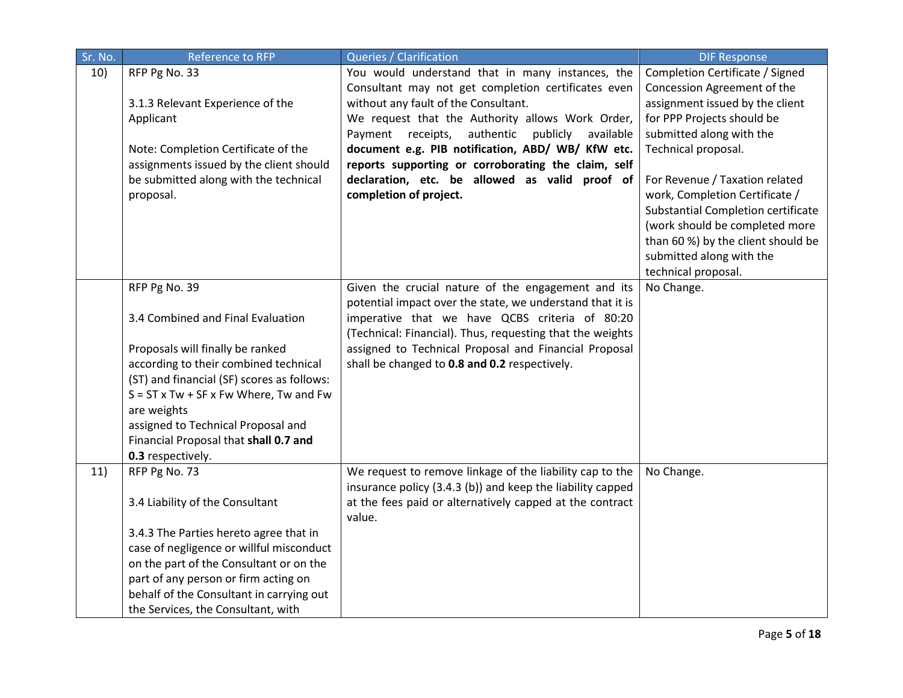| Sr. No. | <b>Reference to RFP</b>                            | Queries / Clarification                                    | <b>DIF Response</b>                |
|---------|----------------------------------------------------|------------------------------------------------------------|------------------------------------|
| 10)     | RFP Pg No. 33                                      | You would understand that in many instances, the           | Completion Certificate / Signed    |
|         |                                                    | Consultant may not get completion certificates even        | Concession Agreement of the        |
|         | 3.1.3 Relevant Experience of the                   | without any fault of the Consultant.                       | assignment issued by the client    |
|         | Applicant                                          | We request that the Authority allows Work Order,           | for PPP Projects should be         |
|         |                                                    | Payment receipts,<br>authentic<br>publicly<br>available    | submitted along with the           |
|         | Note: Completion Certificate of the                | document e.g. PIB notification, ABD/ WB/ KfW etc.          | Technical proposal.                |
|         | assignments issued by the client should            | reports supporting or corroborating the claim, self        |                                    |
|         | be submitted along with the technical              | declaration, etc. be allowed as valid proof of             | For Revenue / Taxation related     |
|         | proposal.                                          | completion of project.                                     | work, Completion Certificate /     |
|         |                                                    |                                                            | Substantial Completion certificate |
|         |                                                    |                                                            | (work should be completed more     |
|         |                                                    |                                                            | than 60 %) by the client should be |
|         |                                                    |                                                            | submitted along with the           |
|         |                                                    |                                                            | technical proposal.                |
|         | RFP Pg No. 39                                      | Given the crucial nature of the engagement and its         | No Change.                         |
|         |                                                    | potential impact over the state, we understand that it is  |                                    |
|         | 3.4 Combined and Final Evaluation                  | imperative that we have QCBS criteria of 80:20             |                                    |
|         |                                                    | (Technical: Financial). Thus, requesting that the weights  |                                    |
|         | Proposals will finally be ranked                   | assigned to Technical Proposal and Financial Proposal      |                                    |
|         | according to their combined technical              | shall be changed to 0.8 and 0.2 respectively.              |                                    |
|         | (ST) and financial (SF) scores as follows:         |                                                            |                                    |
|         | $S = ST \times Tw + SF \times Fw$ Where, Tw and Fw |                                                            |                                    |
|         | are weights                                        |                                                            |                                    |
|         | assigned to Technical Proposal and                 |                                                            |                                    |
|         | Financial Proposal that shall 0.7 and              |                                                            |                                    |
|         | 0.3 respectively.                                  |                                                            |                                    |
| 11)     | RFP Pg No. 73                                      | We request to remove linkage of the liability cap to the   | No Change.                         |
|         |                                                    | insurance policy (3.4.3 (b)) and keep the liability capped |                                    |
|         | 3.4 Liability of the Consultant                    | at the fees paid or alternatively capped at the contract   |                                    |
|         |                                                    | value.                                                     |                                    |
|         | 3.4.3 The Parties hereto agree that in             |                                                            |                                    |
|         | case of negligence or willful misconduct           |                                                            |                                    |
|         | on the part of the Consultant or on the            |                                                            |                                    |
|         | part of any person or firm acting on               |                                                            |                                    |
|         | behalf of the Consultant in carrying out           |                                                            |                                    |
|         | the Services, the Consultant, with                 |                                                            |                                    |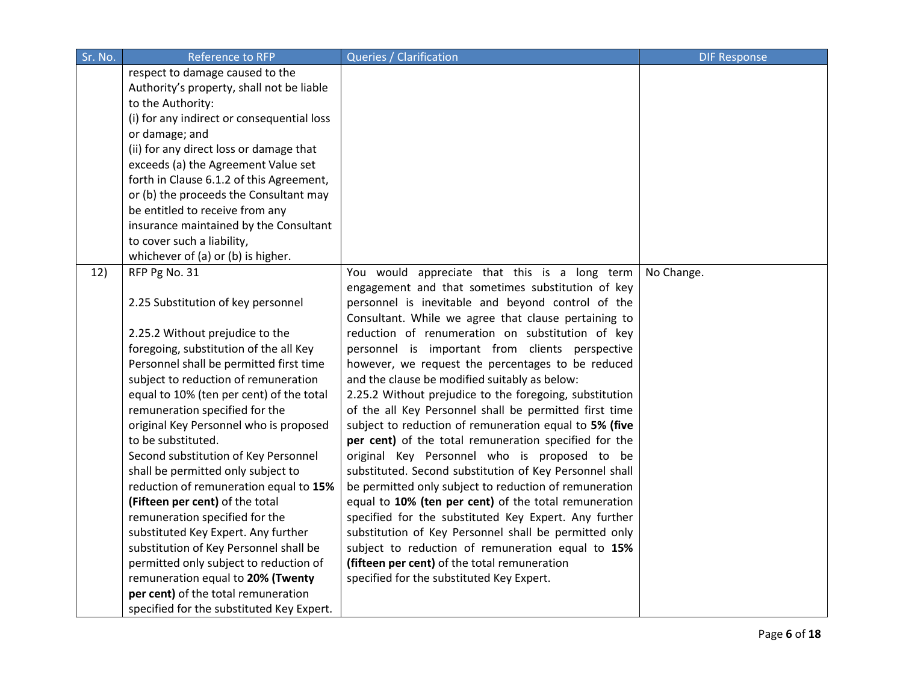| Sr. No. | <b>Reference to RFP</b>                                                    | <b>Queries / Clarification</b>                                                                          | <b>DIF Response</b> |
|---------|----------------------------------------------------------------------------|---------------------------------------------------------------------------------------------------------|---------------------|
|         | respect to damage caused to the                                            |                                                                                                         |                     |
|         | Authority's property, shall not be liable                                  |                                                                                                         |                     |
|         | to the Authority:                                                          |                                                                                                         |                     |
|         | (i) for any indirect or consequential loss                                 |                                                                                                         |                     |
|         | or damage; and                                                             |                                                                                                         |                     |
|         | (ii) for any direct loss or damage that                                    |                                                                                                         |                     |
|         | exceeds (a) the Agreement Value set                                        |                                                                                                         |                     |
|         | forth in Clause 6.1.2 of this Agreement,                                   |                                                                                                         |                     |
|         | or (b) the proceeds the Consultant may                                     |                                                                                                         |                     |
|         | be entitled to receive from any                                            |                                                                                                         |                     |
|         | insurance maintained by the Consultant                                     |                                                                                                         |                     |
|         | to cover such a liability,                                                 |                                                                                                         |                     |
|         | whichever of (a) or (b) is higher.                                         |                                                                                                         |                     |
| 12)     | RFP Pg No. 31                                                              | You would appreciate that this is a long term                                                           | No Change.          |
|         |                                                                            | engagement and that sometimes substitution of key                                                       |                     |
|         | 2.25 Substitution of key personnel                                         | personnel is inevitable and beyond control of the                                                       |                     |
|         |                                                                            | Consultant. While we agree that clause pertaining to                                                    |                     |
|         | 2.25.2 Without prejudice to the                                            | reduction of renumeration on substitution of key                                                        |                     |
|         | foregoing, substitution of the all Key                                     | personnel is important from clients perspective                                                         |                     |
|         | Personnel shall be permitted first time                                    | however, we request the percentages to be reduced                                                       |                     |
|         | subject to reduction of remuneration                                       | and the clause be modified suitably as below:                                                           |                     |
|         | equal to 10% (ten per cent) of the total                                   | 2.25.2 Without prejudice to the foregoing, substitution                                                 |                     |
|         | remuneration specified for the                                             | of the all Key Personnel shall be permitted first time                                                  |                     |
|         | original Key Personnel who is proposed                                     | subject to reduction of remuneration equal to 5% (five                                                  |                     |
|         | to be substituted.                                                         | per cent) of the total remuneration specified for the                                                   |                     |
|         | Second substitution of Key Personnel<br>shall be permitted only subject to | original Key Personnel who is proposed to be<br>substituted. Second substitution of Key Personnel shall |                     |
|         | reduction of remuneration equal to 15%                                     | be permitted only subject to reduction of remuneration                                                  |                     |
|         | (Fifteen per cent) of the total                                            | equal to 10% (ten per cent) of the total remuneration                                                   |                     |
|         | remuneration specified for the                                             | specified for the substituted Key Expert. Any further                                                   |                     |
|         | substituted Key Expert. Any further                                        | substitution of Key Personnel shall be permitted only                                                   |                     |
|         | substitution of Key Personnel shall be                                     | subject to reduction of remuneration equal to 15%                                                       |                     |
|         | permitted only subject to reduction of                                     | (fifteen per cent) of the total remuneration                                                            |                     |
|         | remuneration equal to 20% (Twenty                                          | specified for the substituted Key Expert.                                                               |                     |
|         | per cent) of the total remuneration                                        |                                                                                                         |                     |
|         | specified for the substituted Key Expert.                                  |                                                                                                         |                     |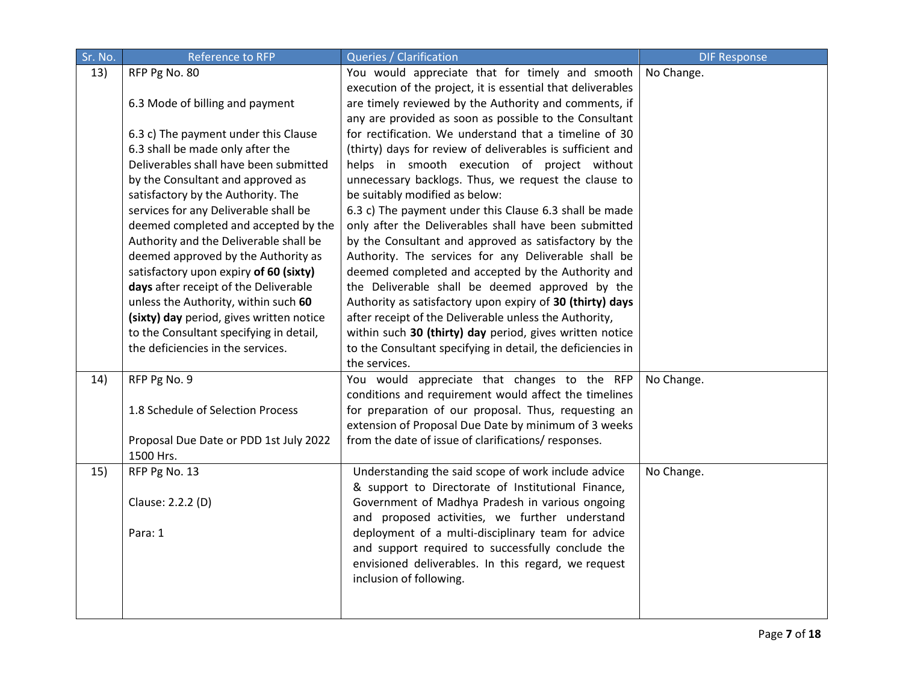| Sr. No. | Reference to RFP                                    | Queries / Clarification                                     | <b>DIF Response</b> |
|---------|-----------------------------------------------------|-------------------------------------------------------------|---------------------|
| 13)     | RFP Pg No. 80                                       | You would appreciate that for timely and smooth             | No Change.          |
|         |                                                     | execution of the project, it is essential that deliverables |                     |
|         | 6.3 Mode of billing and payment                     | are timely reviewed by the Authority and comments, if       |                     |
|         |                                                     | any are provided as soon as possible to the Consultant      |                     |
|         | 6.3 c) The payment under this Clause                | for rectification. We understand that a timeline of 30      |                     |
|         | 6.3 shall be made only after the                    | (thirty) days for review of deliverables is sufficient and  |                     |
|         | Deliverables shall have been submitted              | helps in smooth execution of project without                |                     |
|         | by the Consultant and approved as                   | unnecessary backlogs. Thus, we request the clause to        |                     |
|         | satisfactory by the Authority. The                  | be suitably modified as below:                              |                     |
|         | services for any Deliverable shall be               | 6.3 c) The payment under this Clause 6.3 shall be made      |                     |
|         | deemed completed and accepted by the                | only after the Deliverables shall have been submitted       |                     |
|         | Authority and the Deliverable shall be              | by the Consultant and approved as satisfactory by the       |                     |
|         | deemed approved by the Authority as                 | Authority. The services for any Deliverable shall be        |                     |
|         | satisfactory upon expiry of 60 (sixty)              | deemed completed and accepted by the Authority and          |                     |
|         | days after receipt of the Deliverable               | the Deliverable shall be deemed approved by the             |                     |
|         | unless the Authority, within such 60                | Authority as satisfactory upon expiry of 30 (thirty) days   |                     |
|         | (sixty) day period, gives written notice            | after receipt of the Deliverable unless the Authority,      |                     |
|         | to the Consultant specifying in detail,             | within such 30 (thirty) day period, gives written notice    |                     |
|         | the deficiencies in the services.                   | to the Consultant specifying in detail, the deficiencies in |                     |
|         |                                                     | the services.                                               |                     |
| 14)     | RFP Pg No. 9                                        | You would appreciate that changes to the RFP                | No Change.          |
|         |                                                     | conditions and requirement would affect the timelines       |                     |
|         | 1.8 Schedule of Selection Process                   | for preparation of our proposal. Thus, requesting an        |                     |
|         |                                                     | extension of Proposal Due Date by minimum of 3 weeks        |                     |
|         | Proposal Due Date or PDD 1st July 2022<br>1500 Hrs. | from the date of issue of clarifications/responses.         |                     |
| 15)     | RFP Pg No. 13                                       | Understanding the said scope of work include advice         | No Change.          |
|         |                                                     | & support to Directorate of Institutional Finance,          |                     |
|         | Clause: 2.2.2 (D)                                   | Government of Madhya Pradesh in various ongoing             |                     |
|         |                                                     | and proposed activities, we further understand              |                     |
|         | Para: 1                                             | deployment of a multi-disciplinary team for advice          |                     |
|         |                                                     | and support required to successfully conclude the           |                     |
|         |                                                     | envisioned deliverables. In this regard, we request         |                     |
|         |                                                     | inclusion of following.                                     |                     |
|         |                                                     |                                                             |                     |
|         |                                                     |                                                             |                     |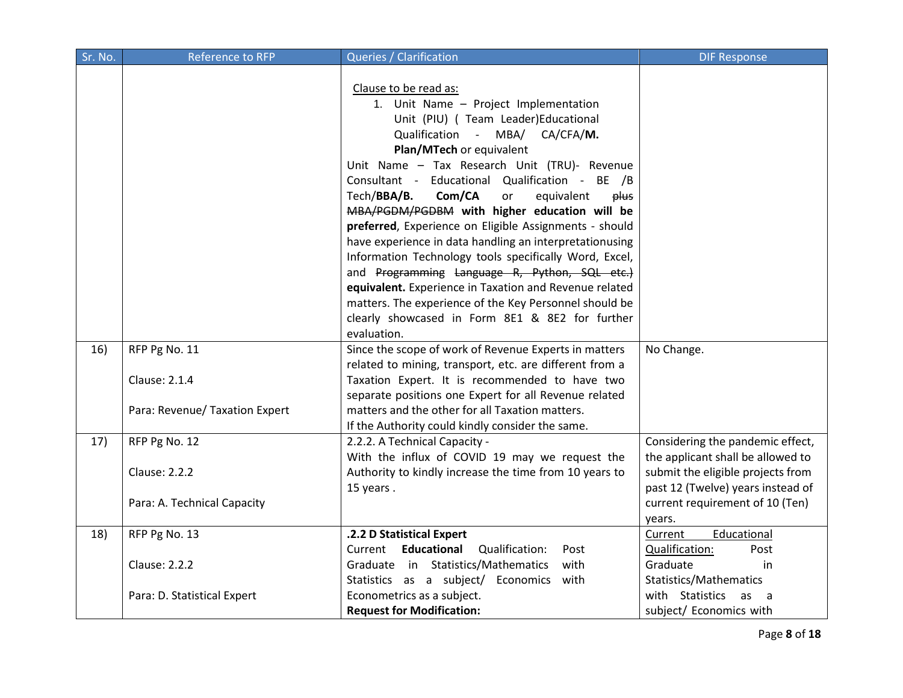| Sr. No. | <b>Reference to RFP</b>        | Queries / Clarification                                 | <b>DIF Response</b>               |
|---------|--------------------------------|---------------------------------------------------------|-----------------------------------|
|         |                                |                                                         |                                   |
|         |                                | Clause to be read as:                                   |                                   |
|         |                                | 1. Unit Name - Project Implementation                   |                                   |
|         |                                | Unit (PIU) ( Team Leader)Educational                    |                                   |
|         |                                | Qualification - MBA/ CA/CFA/M.                          |                                   |
|         |                                | Plan/MTech or equivalent                                |                                   |
|         |                                | Unit Name - Tax Research Unit (TRU)- Revenue            |                                   |
|         |                                | Consultant - Educational Qualification - BE /B          |                                   |
|         |                                | Tech/BBA/B.<br>Com/CA<br>equivalent<br>plus<br>or       |                                   |
|         |                                | MBA/PGDM/PGDBM with higher education will be            |                                   |
|         |                                | preferred, Experience on Eligible Assignments - should  |                                   |
|         |                                | have experience in data handling an interpretationusing |                                   |
|         |                                | Information Technology tools specifically Word, Excel,  |                                   |
|         |                                | and Programming Language R, Python, SQL etc.)           |                                   |
|         |                                | equivalent. Experience in Taxation and Revenue related  |                                   |
|         |                                | matters. The experience of the Key Personnel should be  |                                   |
|         |                                | clearly showcased in Form 8E1 & 8E2 for further         |                                   |
|         |                                | evaluation.                                             |                                   |
| 16)     | RFP Pg No. 11                  | Since the scope of work of Revenue Experts in matters   | No Change.                        |
|         |                                | related to mining, transport, etc. are different from a |                                   |
|         | <b>Clause: 2.1.4</b>           | Taxation Expert. It is recommended to have two          |                                   |
|         |                                | separate positions one Expert for all Revenue related   |                                   |
|         | Para: Revenue/ Taxation Expert | matters and the other for all Taxation matters.         |                                   |
|         |                                | If the Authority could kindly consider the same.        |                                   |
| 17)     | RFP Pg No. 12                  | 2.2.2. A Technical Capacity -                           | Considering the pandemic effect,  |
|         |                                | With the influx of COVID 19 may we request the          | the applicant shall be allowed to |
|         | <b>Clause: 2.2.2</b>           | Authority to kindly increase the time from 10 years to  | submit the eligible projects from |
|         |                                | 15 years.                                               | past 12 (Twelve) years instead of |
|         | Para: A. Technical Capacity    |                                                         | current requirement of 10 (Ten)   |
|         |                                |                                                         | years.                            |
| 18)     | RFP Pg No. 13                  | .2.2 D Statistical Expert                               | Educational<br>Current            |
|         |                                | Current Educational<br>Qualification:<br>Post           | Qualification:<br>Post            |
|         | <b>Clause: 2.2.2</b>           | Graduate in Statistics/Mathematics<br>with              | Graduate<br>in                    |
|         |                                | Statistics as a subject/ Economics<br>with              | Statistics/Mathematics            |
|         | Para: D. Statistical Expert    | Econometrics as a subject.                              | with Statistics<br>as a           |
|         |                                | <b>Request for Modification:</b>                        | subject/ Economics with           |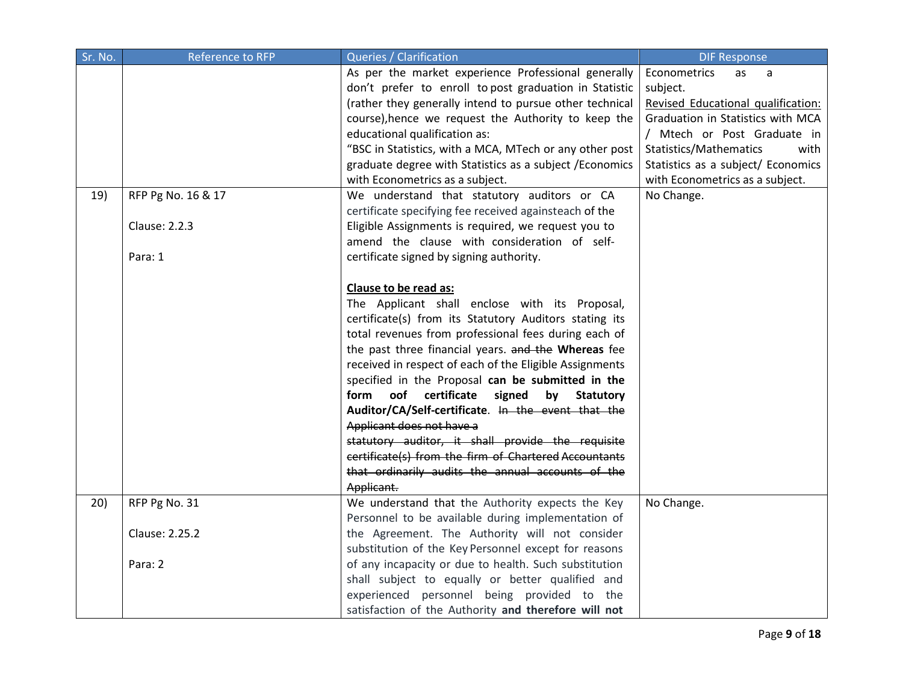| Sr. No. | <b>Reference to RFP</b>             | Queries / Clarification                                                                                                                                                                                                                                                                                                                                                                                                                                                                                                                                                                                                                                                                                                                            | <b>DIF Response</b>                                                                                                                                                                                                                                                    |
|---------|-------------------------------------|----------------------------------------------------------------------------------------------------------------------------------------------------------------------------------------------------------------------------------------------------------------------------------------------------------------------------------------------------------------------------------------------------------------------------------------------------------------------------------------------------------------------------------------------------------------------------------------------------------------------------------------------------------------------------------------------------------------------------------------------------|------------------------------------------------------------------------------------------------------------------------------------------------------------------------------------------------------------------------------------------------------------------------|
| 19)     | RFP Pg No. 16 & 17<br>Clause: 2.2.3 | As per the market experience Professional generally<br>don't prefer to enroll to post graduation in Statistic<br>(rather they generally intend to pursue other technical<br>course), hence we request the Authority to keep the<br>educational qualification as:<br>"BSC in Statistics, with a MCA, MTech or any other post<br>graduate degree with Statistics as a subject / Economics<br>with Econometrics as a subject.<br>We understand that statutory auditors or CA<br>certificate specifying fee received againsteach of the<br>Eligible Assignments is required, we request you to<br>amend the clause with consideration of self-                                                                                                         | Econometrics<br>as<br>a<br>subject.<br>Revised Educational qualification:<br>Graduation in Statistics with MCA<br>/ Mtech or Post Graduate in<br>Statistics/Mathematics<br>with<br>Statistics as a subject/ Economics<br>with Econometrics as a subject.<br>No Change. |
|         | Para: 1                             | certificate signed by signing authority.<br>Clause to be read as:<br>The Applicant shall enclose with its Proposal,<br>certificate(s) from its Statutory Auditors stating its<br>total revenues from professional fees during each of<br>the past three financial years. and the Whereas fee<br>received in respect of each of the Eligible Assignments<br>specified in the Proposal can be submitted in the<br>certificate<br>form<br>oof<br>signed<br>by<br><b>Statutory</b><br>Auditor/CA/Self-certificate. In the event that the<br>Applicant does not have a<br>statutory auditor, it shall provide the requisite<br>certificate(s) from the firm of Chartered Accountants<br>that ordinarily audits the annual accounts of the<br>Applicant. |                                                                                                                                                                                                                                                                        |
| 20)     | RFP Pg No. 31<br>Clause: 2.25.2     | We understand that the Authority expects the Key<br>Personnel to be available during implementation of<br>the Agreement. The Authority will not consider                                                                                                                                                                                                                                                                                                                                                                                                                                                                                                                                                                                           | No Change.                                                                                                                                                                                                                                                             |
|         |                                     | substitution of the Key Personnel except for reasons                                                                                                                                                                                                                                                                                                                                                                                                                                                                                                                                                                                                                                                                                               |                                                                                                                                                                                                                                                                        |
|         | Para: 2                             | of any incapacity or due to health. Such substitution                                                                                                                                                                                                                                                                                                                                                                                                                                                                                                                                                                                                                                                                                              |                                                                                                                                                                                                                                                                        |
|         |                                     | shall subject to equally or better qualified and                                                                                                                                                                                                                                                                                                                                                                                                                                                                                                                                                                                                                                                                                                   |                                                                                                                                                                                                                                                                        |
|         |                                     | experienced personnel being provided to the                                                                                                                                                                                                                                                                                                                                                                                                                                                                                                                                                                                                                                                                                                        |                                                                                                                                                                                                                                                                        |
|         |                                     | satisfaction of the Authority and therefore will not                                                                                                                                                                                                                                                                                                                                                                                                                                                                                                                                                                                                                                                                                               |                                                                                                                                                                                                                                                                        |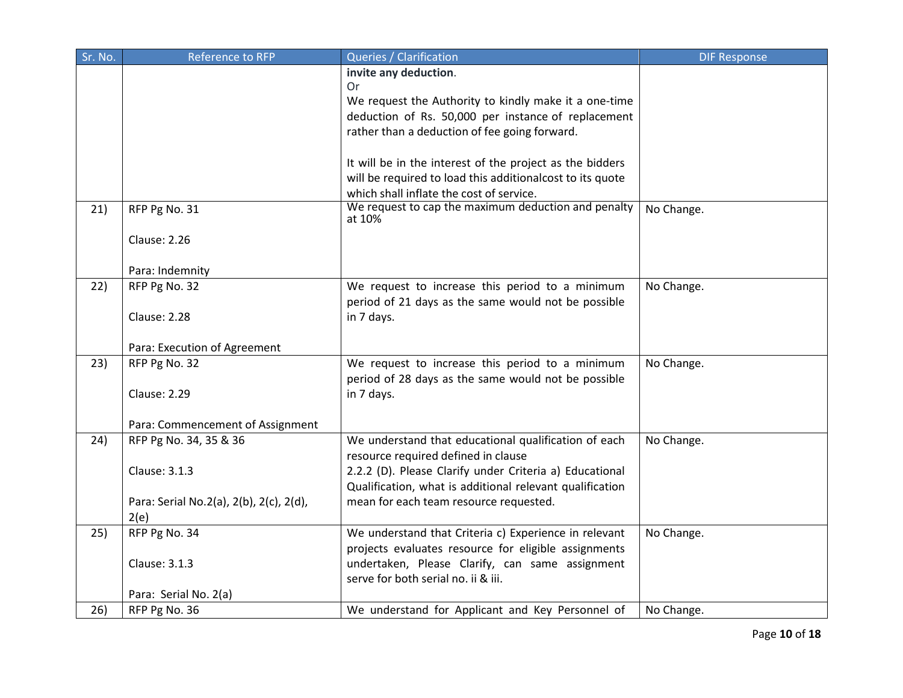| Sr. No. | <b>Reference to RFP</b>                 | Queries / Clarification                                                                               | <b>DIF Response</b> |
|---------|-----------------------------------------|-------------------------------------------------------------------------------------------------------|---------------------|
|         |                                         | invite any deduction.<br>Or                                                                           |                     |
|         |                                         | We request the Authority to kindly make it a one-time                                                 |                     |
|         |                                         | deduction of Rs. 50,000 per instance of replacement                                                   |                     |
|         |                                         | rather than a deduction of fee going forward.                                                         |                     |
|         |                                         |                                                                                                       |                     |
|         |                                         | It will be in the interest of the project as the bidders                                              |                     |
|         |                                         | will be required to load this additionalcost to its quote<br>which shall inflate the cost of service. |                     |
| 21)     | RFP Pg No. 31                           | We request to cap the maximum deduction and penalty                                                   | No Change.          |
|         |                                         | at 10%                                                                                                |                     |
|         | <b>Clause: 2.26</b>                     |                                                                                                       |                     |
|         |                                         |                                                                                                       |                     |
|         | Para: Indemnity                         |                                                                                                       |                     |
| 22)     | RFP Pg No. 32                           | We request to increase this period to a minimum                                                       | No Change.          |
|         |                                         | period of 21 days as the same would not be possible                                                   |                     |
|         | <b>Clause: 2.28</b>                     | in 7 days.                                                                                            |                     |
|         | Para: Execution of Agreement            |                                                                                                       |                     |
| 23)     | RFP Pg No. 32                           | We request to increase this period to a minimum                                                       | No Change.          |
|         |                                         | period of 28 days as the same would not be possible                                                   |                     |
|         | <b>Clause: 2.29</b>                     | in 7 days.                                                                                            |                     |
|         | Para: Commencement of Assignment        |                                                                                                       |                     |
| 24)     | RFP Pg No. 34, 35 & 36                  | We understand that educational qualification of each                                                  | No Change.          |
|         |                                         | resource required defined in clause                                                                   |                     |
|         | Clause: 3.1.3                           | 2.2.2 (D). Please Clarify under Criteria a) Educational                                               |                     |
|         |                                         | Qualification, what is additional relevant qualification                                              |                     |
|         | Para: Serial No.2(a), 2(b), 2(c), 2(d), | mean for each team resource requested.                                                                |                     |
|         | 2(e)                                    |                                                                                                       |                     |
| 25)     | RFP Pg No. 34                           | We understand that Criteria c) Experience in relevant                                                 | No Change.          |
|         |                                         | projects evaluates resource for eligible assignments                                                  |                     |
|         | Clause: 3.1.3                           | undertaken, Please Clarify, can same assignment                                                       |                     |
|         |                                         | serve for both serial no. ii & iii.                                                                   |                     |
| 26)     | Para: Serial No. 2(a)<br>RFP Pg No. 36  | We understand for Applicant and Key Personnel of                                                      | No Change.          |
|         |                                         |                                                                                                       |                     |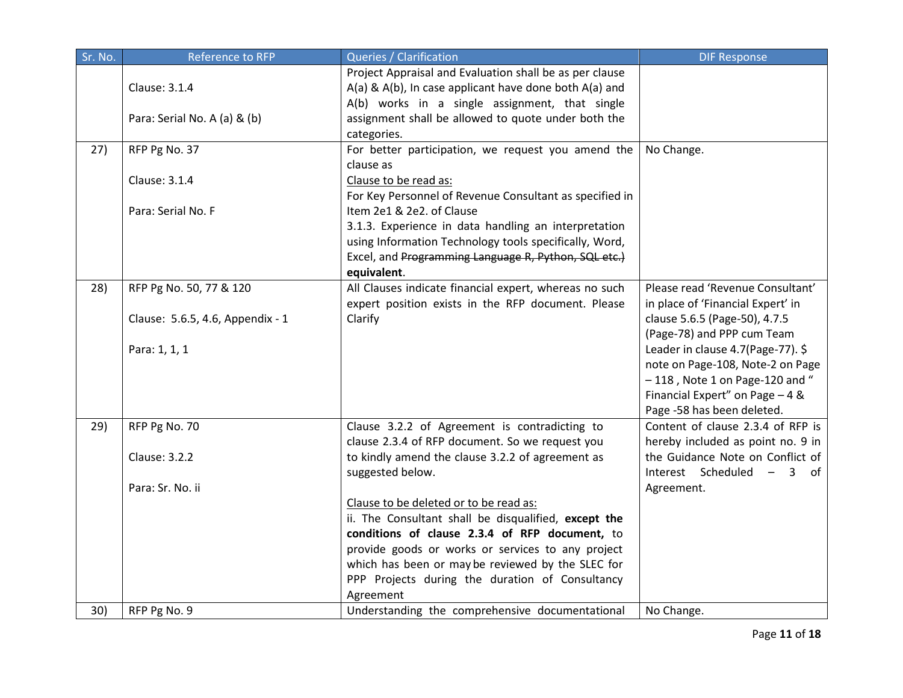| Sr. No. | Reference to RFP                 | Queries / Clarification                                                                                                                                                                                                                                                                                                    | <b>DIF Response</b>                                                                                                                                                         |
|---------|----------------------------------|----------------------------------------------------------------------------------------------------------------------------------------------------------------------------------------------------------------------------------------------------------------------------------------------------------------------------|-----------------------------------------------------------------------------------------------------------------------------------------------------------------------------|
|         | Clause: 3.1.4                    | Project Appraisal and Evaluation shall be as per clause<br>A(a) & A(b), In case applicant have done both A(a) and<br>A(b) works in a single assignment, that single                                                                                                                                                        |                                                                                                                                                                             |
|         | Para: Serial No. A (a) & (b)     | assignment shall be allowed to quote under both the<br>categories.                                                                                                                                                                                                                                                         |                                                                                                                                                                             |
| 27)     | RFP Pg No. 37                    | For better participation, we request you amend the<br>clause as                                                                                                                                                                                                                                                            | No Change.                                                                                                                                                                  |
|         | Clause: 3.1.4                    | Clause to be read as:<br>For Key Personnel of Revenue Consultant as specified in                                                                                                                                                                                                                                           |                                                                                                                                                                             |
|         | Para: Serial No. F               | Item 2e1 & 2e2. of Clause<br>3.1.3. Experience in data handling an interpretation<br>using Information Technology tools specifically, Word,<br>Excel, and Programming Language R, Python, SQL etc.)<br>equivalent.                                                                                                         |                                                                                                                                                                             |
| 28)     | RFP Pg No. 50, 77 & 120          | All Clauses indicate financial expert, whereas no such<br>expert position exists in the RFP document. Please                                                                                                                                                                                                               | Please read 'Revenue Consultant'<br>in place of 'Financial Expert' in                                                                                                       |
|         | Clause: 5.6.5, 4.6, Appendix - 1 | Clarify                                                                                                                                                                                                                                                                                                                    | clause 5.6.5 (Page-50), 4.7.5<br>(Page-78) and PPP cum Team                                                                                                                 |
|         | Para: 1, 1, 1                    |                                                                                                                                                                                                                                                                                                                            | Leader in clause 4.7(Page-77). \$<br>note on Page-108, Note-2 on Page<br>$-118$ , Note 1 on Page-120 and "<br>Financial Expert" on Page - 4 &<br>Page -58 has been deleted. |
| 29)     | RFP Pg No. 70                    | Clause 3.2.2 of Agreement is contradicting to<br>clause 2.3.4 of RFP document. So we request you                                                                                                                                                                                                                           | Content of clause 2.3.4 of RFP is<br>hereby included as point no. 9 in                                                                                                      |
|         | <b>Clause: 3.2.2</b>             | to kindly amend the clause 3.2.2 of agreement as<br>suggested below.                                                                                                                                                                                                                                                       | the Guidance Note on Conflict of<br>Interest Scheduled - 3 of                                                                                                               |
|         | Para: Sr. No. ii                 | Clause to be deleted or to be read as:<br>ii. The Consultant shall be disqualified, except the<br>conditions of clause 2.3.4 of RFP document, to<br>provide goods or works or services to any project<br>which has been or may be reviewed by the SLEC for<br>PPP Projects during the duration of Consultancy<br>Agreement | Agreement.                                                                                                                                                                  |
| 30)     | RFP Pg No. 9                     | Understanding the comprehensive documentational                                                                                                                                                                                                                                                                            | No Change.                                                                                                                                                                  |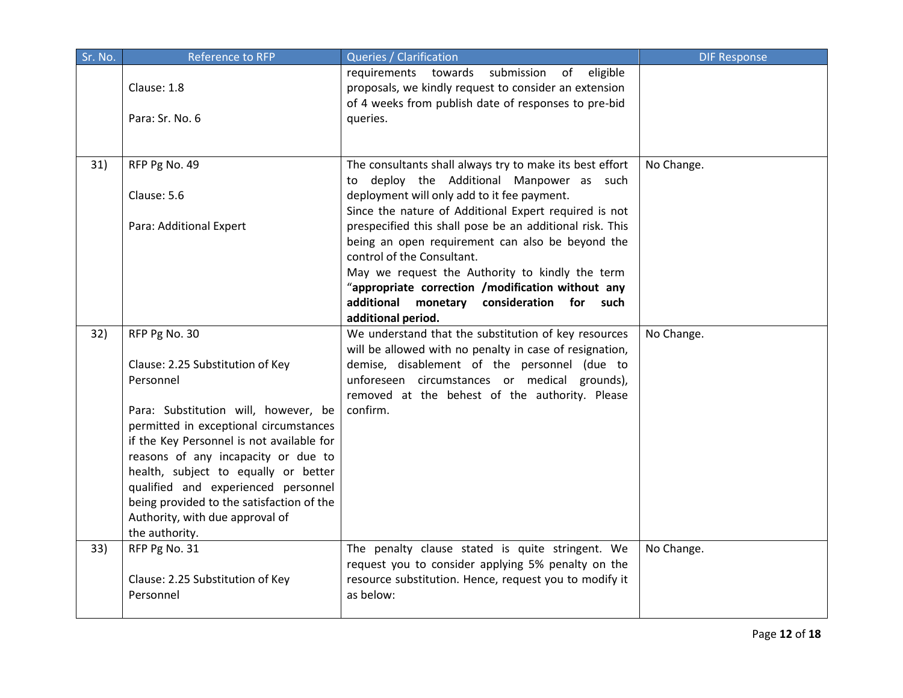| Sr. No. | Reference to RFP                                                                                                         | Queries / Clarification                                                                                                                                               | <b>DIF Response</b> |
|---------|--------------------------------------------------------------------------------------------------------------------------|-----------------------------------------------------------------------------------------------------------------------------------------------------------------------|---------------------|
|         | Clause: 1.8                                                                                                              | requirements towards submission of eligible<br>proposals, we kindly request to consider an extension<br>of 4 weeks from publish date of responses to pre-bid          |                     |
|         | Para: Sr. No. 6                                                                                                          | queries.                                                                                                                                                              |                     |
| 31)     | RFP Pg No. 49<br>Clause: 5.6                                                                                             | The consultants shall always try to make its best effort<br>to deploy the Additional Manpower as such<br>deployment will only add to it fee payment.                  | No Change.          |
|         | Para: Additional Expert                                                                                                  | Since the nature of Additional Expert required is not<br>prespecified this shall pose be an additional risk. This<br>being an open requirement can also be beyond the |                     |
|         |                                                                                                                          | control of the Consultant.<br>May we request the Authority to kindly the term<br>"appropriate correction /modification without any                                    |                     |
|         |                                                                                                                          | additional<br>monetary consideration for<br>such<br>additional period.                                                                                                |                     |
| 32)     | RFP Pg No. 30                                                                                                            | We understand that the substitution of key resources<br>will be allowed with no penalty in case of resignation,                                                       | No Change.          |
|         | Clause: 2.25 Substitution of Key<br>Personnel                                                                            | demise, disablement of the personnel (due to<br>unforeseen circumstances or medical grounds),<br>removed at the behest of the authority. Please                       |                     |
|         | Para: Substitution will, however, be<br>permitted in exceptional circumstances                                           | confirm.                                                                                                                                                              |                     |
|         | if the Key Personnel is not available for<br>reasons of any incapacity or due to                                         |                                                                                                                                                                       |                     |
|         | health, subject to equally or better<br>qualified and experienced personnel<br>being provided to the satisfaction of the |                                                                                                                                                                       |                     |
|         | Authority, with due approval of<br>the authority.                                                                        |                                                                                                                                                                       |                     |
| 33)     | RFP Pg No. 31<br>Clause: 2.25 Substitution of Key                                                                        | The penalty clause stated is quite stringent. We<br>request you to consider applying 5% penalty on the<br>resource substitution. Hence, request you to modify it      | No Change.          |
|         | Personnel                                                                                                                | as below:                                                                                                                                                             |                     |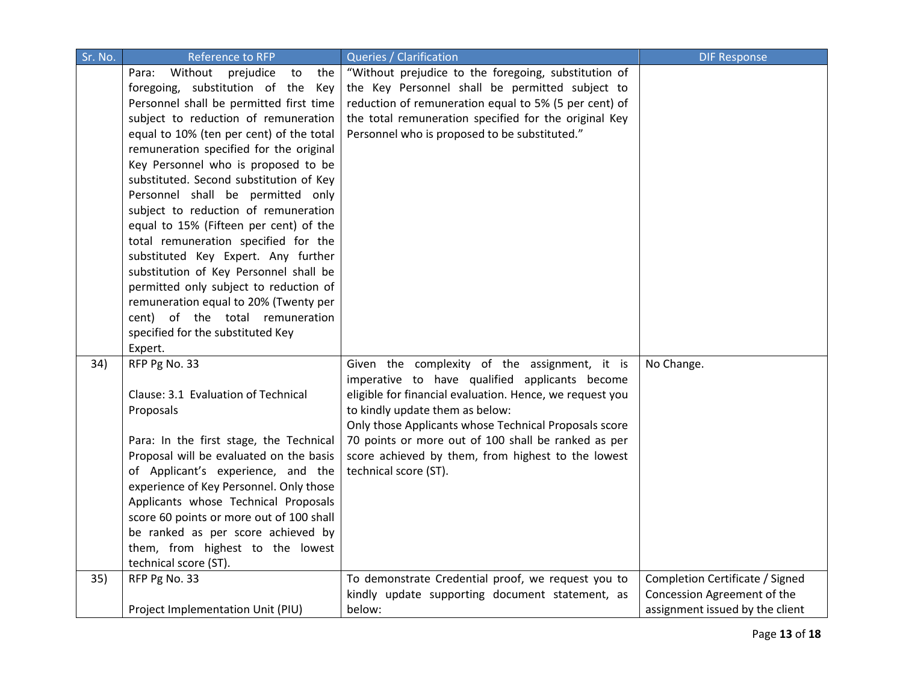| Sr. No. | <b>Reference to RFP</b>                    | Queries / Clarification                                  | <b>DIF Response</b>             |
|---------|--------------------------------------------|----------------------------------------------------------|---------------------------------|
|         | Without<br>prejudice<br>the<br>Para:<br>to | "Without prejudice to the foregoing, substitution of     |                                 |
|         | foregoing, substitution of the<br>Key      | the Key Personnel shall be permitted subject to          |                                 |
|         | Personnel shall be permitted first time    | reduction of remuneration equal to 5% (5 per cent) of    |                                 |
|         | subject to reduction of remuneration       | the total remuneration specified for the original Key    |                                 |
|         | equal to 10% (ten per cent) of the total   | Personnel who is proposed to be substituted."            |                                 |
|         | remuneration specified for the original    |                                                          |                                 |
|         | Key Personnel who is proposed to be        |                                                          |                                 |
|         | substituted. Second substitution of Key    |                                                          |                                 |
|         | Personnel shall be permitted only          |                                                          |                                 |
|         | subject to reduction of remuneration       |                                                          |                                 |
|         | equal to 15% (Fifteen per cent) of the     |                                                          |                                 |
|         | total remuneration specified for the       |                                                          |                                 |
|         | substituted Key Expert. Any further        |                                                          |                                 |
|         | substitution of Key Personnel shall be     |                                                          |                                 |
|         | permitted only subject to reduction of     |                                                          |                                 |
|         | remuneration equal to 20% (Twenty per      |                                                          |                                 |
|         | cent) of the total remuneration            |                                                          |                                 |
|         | specified for the substituted Key          |                                                          |                                 |
|         | Expert.                                    |                                                          |                                 |
| 34)     | RFP Pg No. 33                              | Given the complexity of the assignment, it is            | No Change.                      |
|         |                                            | imperative to have qualified applicants become           |                                 |
|         | Clause: 3.1 Evaluation of Technical        | eligible for financial evaluation. Hence, we request you |                                 |
|         | Proposals                                  | to kindly update them as below:                          |                                 |
|         |                                            | Only those Applicants whose Technical Proposals score    |                                 |
|         | Para: In the first stage, the Technical    | 70 points or more out of 100 shall be ranked as per      |                                 |
|         | Proposal will be evaluated on the basis    | score achieved by them, from highest to the lowest       |                                 |
|         | of Applicant's experience, and the         | technical score (ST).                                    |                                 |
|         | experience of Key Personnel. Only those    |                                                          |                                 |
|         | Applicants whose Technical Proposals       |                                                          |                                 |
|         | score 60 points or more out of 100 shall   |                                                          |                                 |
|         | be ranked as per score achieved by         |                                                          |                                 |
|         | them, from highest to the lowest           |                                                          |                                 |
|         | technical score (ST).                      |                                                          |                                 |
| 35)     | RFP Pg No. 33                              | To demonstrate Credential proof, we request you to       | Completion Certificate / Signed |
|         |                                            | kindly update supporting document statement, as          | Concession Agreement of the     |
|         | Project Implementation Unit (PIU)          | below:                                                   | assignment issued by the client |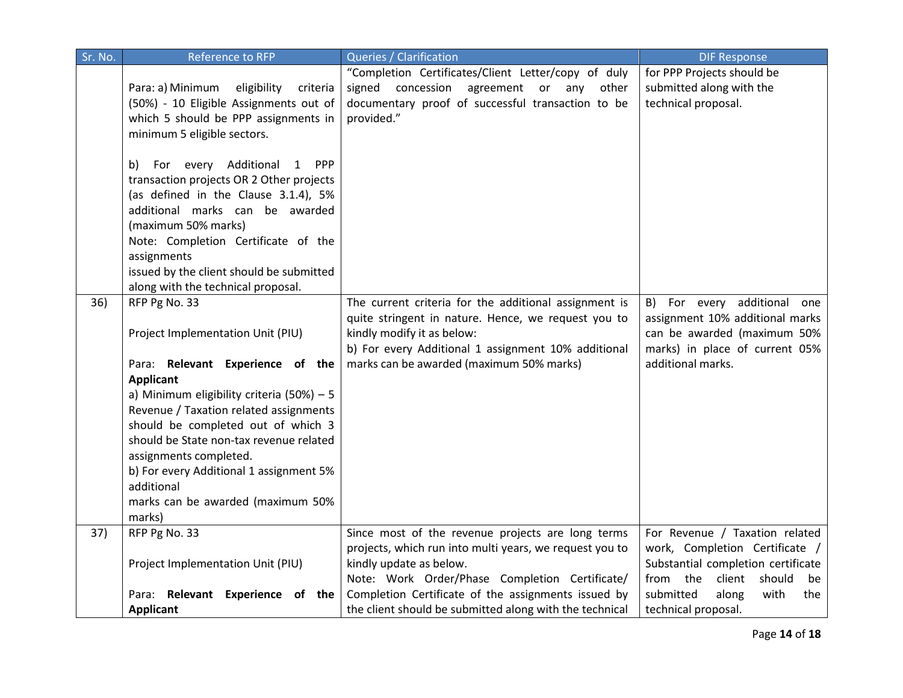| Sr. No. | <b>Reference to RFP</b>                                                                                                                                                                                                                                                                                                                                                                                                 | Queries / Clarification                                                                                                                                                                                                                       | <b>DIF Response</b>                                                                                                                                  |
|---------|-------------------------------------------------------------------------------------------------------------------------------------------------------------------------------------------------------------------------------------------------------------------------------------------------------------------------------------------------------------------------------------------------------------------------|-----------------------------------------------------------------------------------------------------------------------------------------------------------------------------------------------------------------------------------------------|------------------------------------------------------------------------------------------------------------------------------------------------------|
|         | Para: a) Minimum<br>eligibility<br>criteria<br>(50%) - 10 Eligible Assignments out of<br>which 5 should be PPP assignments in<br>minimum 5 eligible sectors.                                                                                                                                                                                                                                                            | "Completion Certificates/Client Letter/copy of duly<br>signed concession<br>agreement or any<br>other<br>documentary proof of successful transaction to be<br>provided."                                                                      | for PPP Projects should be<br>submitted along with the<br>technical proposal.                                                                        |
|         | For every Additional<br>1 PPP<br>b)<br>transaction projects OR 2 Other projects<br>(as defined in the Clause 3.1.4), 5%<br>additional marks can be awarded<br>(maximum 50% marks)<br>Note: Completion Certificate of the<br>assignments<br>issued by the client should be submitted<br>along with the technical proposal.                                                                                               |                                                                                                                                                                                                                                               |                                                                                                                                                      |
| 36)     | RFP Pg No. 33<br>Project Implementation Unit (PIU)<br>Para: Relevant Experience of the<br><b>Applicant</b><br>a) Minimum eligibility criteria $(50\%) - 5$<br>Revenue / Taxation related assignments<br>should be completed out of which 3<br>should be State non-tax revenue related<br>assignments completed.<br>b) For every Additional 1 assignment 5%<br>additional<br>marks can be awarded (maximum 50%<br>marks) | The current criteria for the additional assignment is<br>quite stringent in nature. Hence, we request you to<br>kindly modify it as below:<br>b) For every Additional 1 assignment 10% additional<br>marks can be awarded (maximum 50% marks) | B) For every additional one<br>assignment 10% additional marks<br>can be awarded (maximum 50%<br>marks) in place of current 05%<br>additional marks. |
| 37)     | RFP Pg No. 33<br>Project Implementation Unit (PIU)                                                                                                                                                                                                                                                                                                                                                                      | Since most of the revenue projects are long terms<br>projects, which run into multi years, we request you to<br>kindly update as below.                                                                                                       | For Revenue / Taxation related<br>work, Completion Certificate /<br>Substantial completion certificate                                               |
|         | Para: Relevant Experience of the<br><b>Applicant</b>                                                                                                                                                                                                                                                                                                                                                                    | Note: Work Order/Phase Completion Certificate/<br>Completion Certificate of the assignments issued by<br>the client should be submitted along with the technical                                                                              | from the<br>client<br>should<br>be<br>submitted<br>along<br>with<br>the<br>technical proposal.                                                       |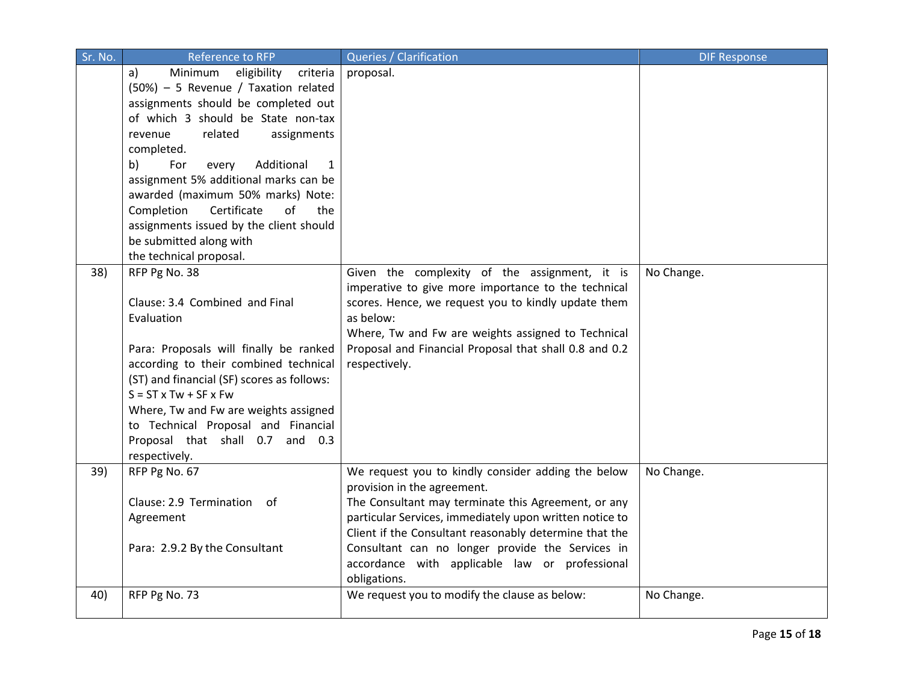| Sr. No. | Reference to RFP                                                            | Queries / Clarification                                                                            | <b>DIF Response</b> |
|---------|-----------------------------------------------------------------------------|----------------------------------------------------------------------------------------------------|---------------------|
|         | Minimum<br>eligibility<br>criteria<br>a)                                    | proposal.                                                                                          |                     |
|         | (50%) - 5 Revenue / Taxation related<br>assignments should be completed out |                                                                                                    |                     |
|         |                                                                             |                                                                                                    |                     |
|         | of which 3 should be State non-tax                                          |                                                                                                    |                     |
|         | related<br>assignments<br>revenue                                           |                                                                                                    |                     |
|         | completed.                                                                  |                                                                                                    |                     |
|         | b)<br>For<br>Additional<br>every<br>1                                       |                                                                                                    |                     |
|         | assignment 5% additional marks can be                                       |                                                                                                    |                     |
|         | awarded (maximum 50% marks) Note:                                           |                                                                                                    |                     |
|         | Completion<br>Certificate<br>of<br>the                                      |                                                                                                    |                     |
|         | assignments issued by the client should                                     |                                                                                                    |                     |
|         | be submitted along with                                                     |                                                                                                    |                     |
|         | the technical proposal.                                                     |                                                                                                    |                     |
| 38)     | RFP Pg No. 38                                                               | Given the complexity of the assignment, it is                                                      | No Change.          |
|         |                                                                             | imperative to give more importance to the technical                                                |                     |
|         | Clause: 3.4 Combined and Final                                              | scores. Hence, we request you to kindly update them                                                |                     |
|         | Evaluation                                                                  | as below:                                                                                          |                     |
|         |                                                                             | Where, Tw and Fw are weights assigned to Technical                                                 |                     |
|         | Para: Proposals will finally be ranked                                      | Proposal and Financial Proposal that shall 0.8 and 0.2                                             |                     |
|         | according to their combined technical                                       | respectively.                                                                                      |                     |
|         | (ST) and financial (SF) scores as follows:                                  |                                                                                                    |                     |
|         | $S = ST \times Tw + SF \times Fw$                                           |                                                                                                    |                     |
|         | Where, Tw and Fw are weights assigned                                       |                                                                                                    |                     |
|         | to Technical Proposal and Financial                                         |                                                                                                    |                     |
|         | Proposal that shall 0.7 and 0.3                                             |                                                                                                    |                     |
|         | respectively.                                                               |                                                                                                    |                     |
| 39)     | RFP Pg No. 67                                                               | We request you to kindly consider adding the below                                                 | No Change.          |
|         | Clause: 2.9 Termination of                                                  | provision in the agreement.                                                                        |                     |
|         |                                                                             | The Consultant may terminate this Agreement, or any                                                |                     |
|         | Agreement                                                                   | particular Services, immediately upon written notice to                                            |                     |
|         |                                                                             | Client if the Consultant reasonably determine that the                                             |                     |
|         | Para: 2.9.2 By the Consultant                                               | Consultant can no longer provide the Services in<br>accordance with applicable law or professional |                     |
|         |                                                                             |                                                                                                    |                     |
| 40)     | RFP Pg No. 73                                                               | obligations.<br>We request you to modify the clause as below:                                      | No Change.          |
|         |                                                                             |                                                                                                    |                     |
|         |                                                                             |                                                                                                    |                     |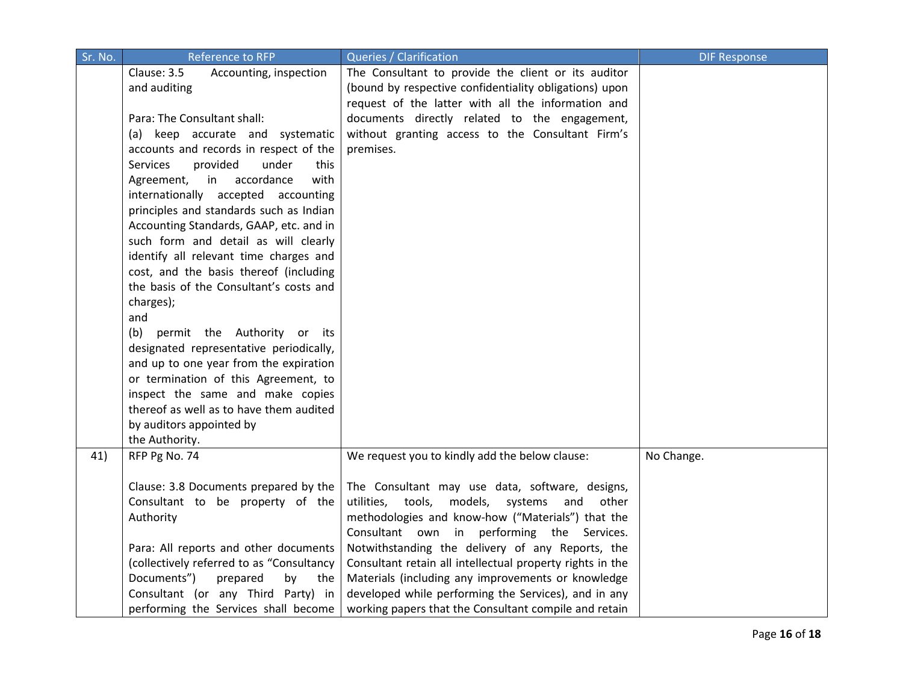| Sr. No. | Reference to RFP                             | Queries / Clarification                                   | <b>DIF Response</b> |
|---------|----------------------------------------------|-----------------------------------------------------------|---------------------|
|         | Clause: 3.5<br>Accounting, inspection        | The Consultant to provide the client or its auditor       |                     |
|         | and auditing                                 | (bound by respective confidentiality obligations) upon    |                     |
|         |                                              | request of the latter with all the information and        |                     |
|         | Para: The Consultant shall:                  | documents directly related to the engagement,             |                     |
|         | (a) keep accurate and systematic             | without granting access to the Consultant Firm's          |                     |
|         | accounts and records in respect of the       | premises.                                                 |                     |
|         | <b>Services</b><br>provided<br>under<br>this |                                                           |                     |
|         | in accordance<br>with<br>Agreement,          |                                                           |                     |
|         | internationally accepted accounting          |                                                           |                     |
|         | principles and standards such as Indian      |                                                           |                     |
|         | Accounting Standards, GAAP, etc. and in      |                                                           |                     |
|         | such form and detail as will clearly         |                                                           |                     |
|         | identify all relevant time charges and       |                                                           |                     |
|         | cost, and the basis thereof (including       |                                                           |                     |
|         | the basis of the Consultant's costs and      |                                                           |                     |
|         | charges);                                    |                                                           |                     |
|         | and                                          |                                                           |                     |
|         | (b) permit the Authority or its              |                                                           |                     |
|         | designated representative periodically,      |                                                           |                     |
|         | and up to one year from the expiration       |                                                           |                     |
|         | or termination of this Agreement, to         |                                                           |                     |
|         | inspect the same and make copies             |                                                           |                     |
|         | thereof as well as to have them audited      |                                                           |                     |
|         | by auditors appointed by                     |                                                           |                     |
|         | the Authority.                               |                                                           |                     |
| 41)     | RFP Pg No. 74                                | We request you to kindly add the below clause:            | No Change.          |
|         | Clause: 3.8 Documents prepared by the        | The Consultant may use data, software, designs,           |                     |
|         | Consultant to be property of the             | utilities, tools, models, systems<br>and<br>other         |                     |
|         | Authority                                    | methodologies and know-how ("Materials") that the         |                     |
|         |                                              | Consultant own in performing the Services.                |                     |
|         | Para: All reports and other documents        | Notwithstanding the delivery of any Reports, the          |                     |
|         | (collectively referred to as "Consultancy    | Consultant retain all intellectual property rights in the |                     |
|         | Documents")<br>prepared<br>by<br>the         | Materials (including any improvements or knowledge        |                     |
|         | Consultant (or any Third Party) in           | developed while performing the Services), and in any      |                     |
|         | performing the Services shall become         | working papers that the Consultant compile and retain     |                     |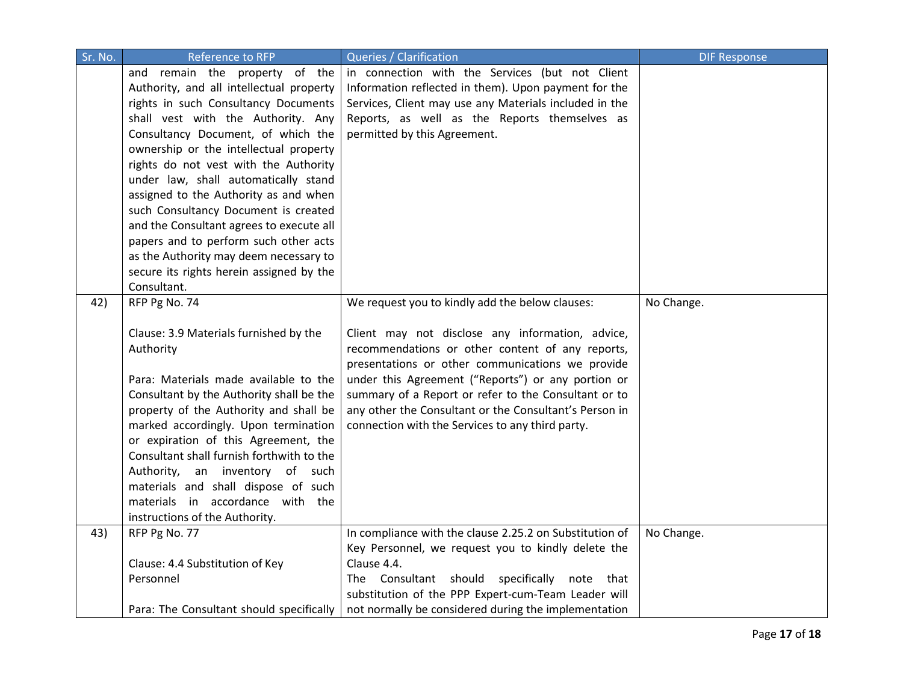| Sr. No. | <b>Reference to RFP</b>                                                           | Queries / Clarification                                 | <b>DIF Response</b> |
|---------|-----------------------------------------------------------------------------------|---------------------------------------------------------|---------------------|
|         | and remain the property of the                                                    | in connection with the Services (but not Client         |                     |
|         | Authority, and all intellectual property                                          | Information reflected in them). Upon payment for the    |                     |
|         | rights in such Consultancy Documents                                              | Services, Client may use any Materials included in the  |                     |
|         | shall vest with the Authority. Any                                                | Reports, as well as the Reports themselves as           |                     |
|         | Consultancy Document, of which the                                                | permitted by this Agreement.                            |                     |
|         | ownership or the intellectual property                                            |                                                         |                     |
|         | rights do not vest with the Authority                                             |                                                         |                     |
|         | under law, shall automatically stand                                              |                                                         |                     |
|         | assigned to the Authority as and when                                             |                                                         |                     |
|         | such Consultancy Document is created                                              |                                                         |                     |
|         | and the Consultant agrees to execute all                                          |                                                         |                     |
|         | papers and to perform such other acts                                             |                                                         |                     |
|         | as the Authority may deem necessary to                                            |                                                         |                     |
|         | secure its rights herein assigned by the                                          |                                                         |                     |
|         | Consultant.                                                                       |                                                         |                     |
| 42)     | RFP Pg No. 74                                                                     | We request you to kindly add the below clauses:         | No Change.          |
|         |                                                                                   |                                                         |                     |
|         | Clause: 3.9 Materials furnished by the                                            | Client may not disclose any information, advice,        |                     |
|         | Authority                                                                         | recommendations or other content of any reports,        |                     |
|         |                                                                                   | presentations or other communications we provide        |                     |
|         | Para: Materials made available to the                                             | under this Agreement ("Reports") or any portion or      |                     |
|         | Consultant by the Authority shall be the                                          | summary of a Report or refer to the Consultant or to    |                     |
|         | property of the Authority and shall be                                            | any other the Consultant or the Consultant's Person in  |                     |
|         | marked accordingly. Upon termination                                              | connection with the Services to any third party.        |                     |
|         | or expiration of this Agreement, the<br>Consultant shall furnish forthwith to the |                                                         |                     |
|         |                                                                                   |                                                         |                     |
|         | Authority, an inventory of such<br>materials and shall dispose of such            |                                                         |                     |
|         | materials in accordance with the                                                  |                                                         |                     |
|         | instructions of the Authority.                                                    |                                                         |                     |
| 43)     | RFP Pg No. 77                                                                     | In compliance with the clause 2.25.2 on Substitution of | No Change.          |
|         |                                                                                   | Key Personnel, we request you to kindly delete the      |                     |
|         | Clause: 4.4 Substitution of Key                                                   | Clause 4.4.                                             |                     |
|         | Personnel                                                                         | The Consultant should<br>specifically note<br>that      |                     |
|         |                                                                                   | substitution of the PPP Expert-cum-Team Leader will     |                     |
|         | Para: The Consultant should specifically                                          | not normally be considered during the implementation    |                     |